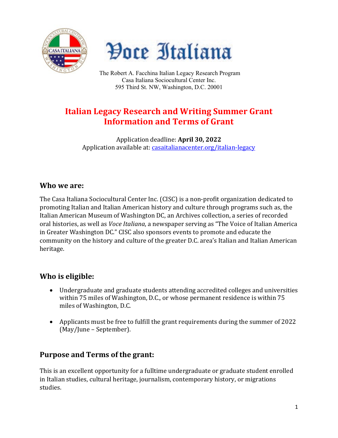



The Robert A. Facchina Italian Legacy Research Program Casa Italiana Sociocultural Center Inc. 595 Third St. NW, Washington, D.C. 20001

# **Italian Legacy Research and Writing Summer Grant Information and Terms of Grant**

Application deadline: **April 30, 2022** Application available at: [casaitalianacenter.org/italian-legacy](https://www.casaitalianacenter.org/italian-legacy)

#### **Who we are:**

The Casa Italiana Sociocultural Center Inc. (CISC) is a non-profit organization dedicated to promoting Italian and Italian American history and culture through programs such as, the Italian American Museum of Washington DC, an Archives collection, a series of recorded oral histories, as well as *Voce Italiana*, a newspaper serving as "The Voice of Italian America in Greater Washington DC." CISC also sponsors events to promote and educate the community on the history and culture of the greater D.C. area's Italian and Italian American heritage.

## **Who is eligible:**

- Undergraduate and graduate students attending accredited colleges and universities within 75 miles of Washington, D.C., or whose permanent residence is within 75 miles of Washington, D.C.
- Applicants must be free to fulfill the grant requirements during the summer of 2022 (May/June – September).

## **Purpose and Terms of the grant:**

This is an excellent opportunity for a fulltime undergraduate or graduate student enrolled in Italian studies, cultural heritage, journalism, contemporary history, or migrations studies.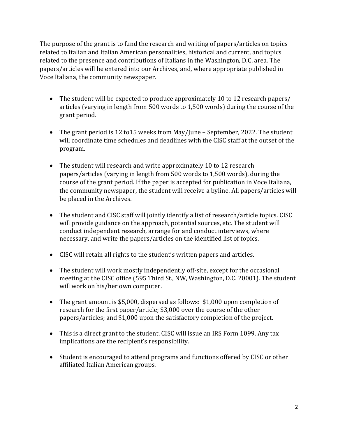The purpose of the grant is to fund the research and writing of papers/articles on topics related to Italian and Italian American personalities, historical and current, and topics related to the presence and contributions of Italians in the Washington, D.C. area. The papers/articles will be entered into our Archives, and, where appropriate published in Voce Italiana, the community newspaper.

- The student will be expected to produce approximately 10 to 12 research papers/ articles (varying in length from 500 words to 1,500 words) during the course of the grant period.
- The grant period is 12 to 15 weeks from May/June September, 2022. The student will coordinate time schedules and deadlines with the CISC staff at the outset of the program.
- The student will research and write approximately 10 to 12 research papers/articles (varying in length from 500 words to 1,500 words), during the course of the grant period. If the paper is accepted for publication in Voce Italiana, the community newspaper, the student will receive a byline. All papers/articles will be placed in the Archives.
- The student and CISC staff will jointly identify a list of research/article topics. CISC will provide guidance on the approach, potential sources, etc. The student will conduct independent research, arrange for and conduct interviews, where necessary, and write the papers/articles on the identified list of topics.
- CISC will retain all rights to the student's written papers and articles.
- The student will work mostly independently off-site, except for the occasional meeting at the CISC office (595 Third St., NW, Washington, D.C. 20001). The student will work on his/her own computer.
- The grant amount is \$5,000, dispersed as follows: \$1,000 upon completion of research for the first paper/article; \$3,000 over the course of the other papers/articles; and \$1,000 upon the satisfactory completion of the project.
- This is a direct grant to the student. CISC will issue an IRS Form 1099. Any tax implications are the recipient's responsibility.
- Student is encouraged to attend programs and functions offered by CISC or other affiliated Italian American groups.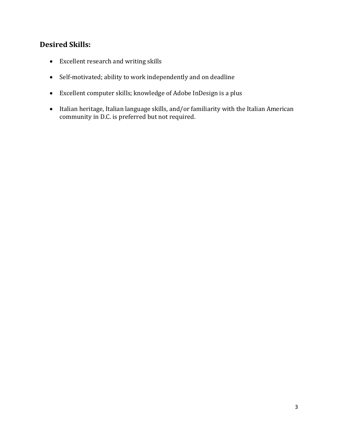#### **Desired Skills:**

- Excellent research and writing skills
- Self-motivated; ability to work independently and on deadline
- Excellent computer skills; knowledge of Adobe InDesign is a plus
- Italian heritage, Italian language skills, and/or familiarity with the Italian American community in D.C. is preferred but not required.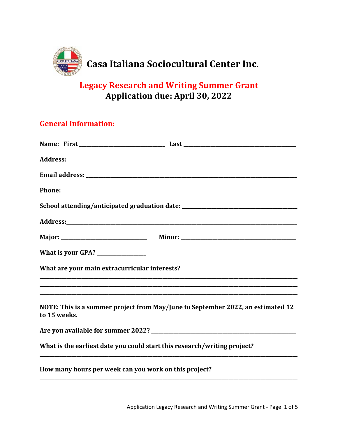

# **Legacy Research and Writing Summer Grant Application due: April 30, 2022**

## **General Information:**

| School attending/anticipated graduation date: __________________________________                |
|-------------------------------------------------------------------------------------------------|
|                                                                                                 |
|                                                                                                 |
|                                                                                                 |
| What are your main extracurricular interests?                                                   |
| ,我们也不能在这里的时候,我们也不能在这里的时候,我们也不能在这里的时候,我们也不能会在这里的时候,我们也不能会在这里的时候,我们也不能会在这里的时候,我们也不能               |
| NOTE: This is a summer project from May/June to September 2022, an estimated 12<br>to 15 weeks. |
|                                                                                                 |
| What is the earliest date you could start this research/writing project?                        |
| How many hours per week can you work on this project?                                           |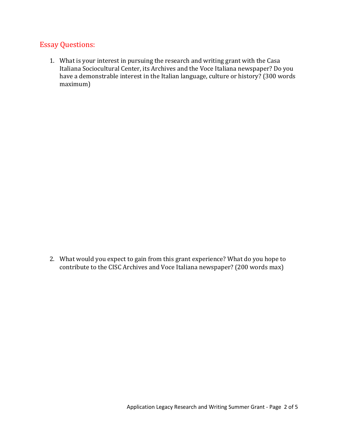#### Essay Questions:

1. What is your interest in pursuing the research and writing grant with the Casa Italiana Sociocultural Center, its Archives and the Voce Italiana newspaper? Do you have a demonstrable interest in the Italian language, culture or history? (300 words maximum)

2. What would you expect to gain from this grant experience? What do you hope to contribute to the CISC Archives and Voce Italiana newspaper? (200 words max)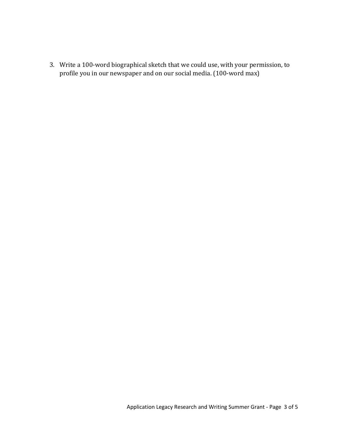3. Write a 100-word biographical sketch that we could use, with your permission, to profile you in our newspaper and on our social media. (100-word max)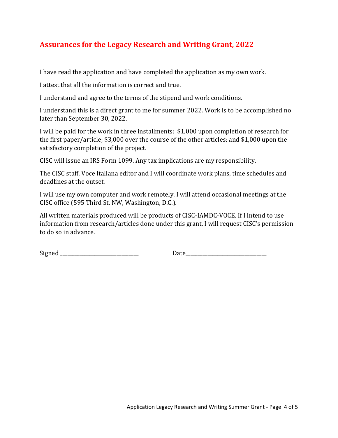## **Assurances for the Legacy Research and Writing Grant, 2022**

I have read the application and have completed the application as my own work.

I attest that all the information is correct and true.

I understand and agree to the terms of the stipend and work conditions.

I understand this is a direct grant to me for summer 2022. Work is to be accomplished no later than September 30, 2022.

I will be paid for the work in three installments: \$1,000 upon completion of research for the first paper/article; \$3,000 over the course of the other articles; and \$1,000 upon the satisfactory completion of the project.

CISC will issue an IRS Form 1099. Any tax implications are my responsibility.

The CISC staff, Voce Italiana editor and I will coordinate work plans, time schedules and deadlines at the outset.

I will use my own computer and work remotely. I will attend occasional meetings at the CISC office (595 Third St. NW, Washington, D.C.).

All written materials produced will be products of CISC-IAMDC-VOCE. If I intend to use information from research/articles done under this grant, I will request CISC's permission to do so in advance.

Signed Date **Date**